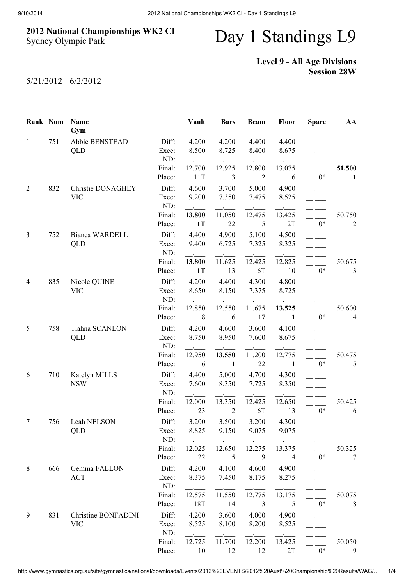## 2012 National Championships WK2 CI Sydney Olympic Park

## Day 1 Standings L9

## Level 9 - All Age Divisions Session 28W

5/21/2012 - 6/2/2012

|              | Rank Num | Name<br>Gym                |                  | <b>Vault</b>    | <b>Bars</b>    | <b>Beam</b>              | <b>Floor</b>   | <b>Spare</b> | AA                       |
|--------------|----------|----------------------------|------------------|-----------------|----------------|--------------------------|----------------|--------------|--------------------------|
| $\mathbf{1}$ | 751      | Abbie BENSTEAD             | Diff:            | 4.200           | 4.200          | 4.400                    | 4.400          |              |                          |
|              |          | QLD                        | Exec:            | 8.500           | 8.725          | 8.400                    | 8.675          |              |                          |
|              |          |                            | ND:              |                 | 12.925         |                          |                |              |                          |
|              |          |                            | Final:<br>Place: | 12.700<br>11T   | 3              | 12.800<br>$\overline{2}$ | 13.075<br>6    | $0*$         | 51.500<br>1              |
|              | 832      | Christie DONAGHEY          | Diff:            | 4.600           | 3.700          | 5.000                    | 4.900          |              |                          |
| 2            |          | <b>VIC</b>                 | Exec:            | 9.200           | 7.350          | 7.475                    | 8.525          |              |                          |
|              |          |                            | ND:              | $\sim 10^{-11}$ |                |                          |                |              |                          |
|              |          |                            | Final:           | 13.800          | 11.050         | 12.475                   | 13.425         |              | 50.750                   |
|              |          |                            | Place:           | <b>1T</b>       | 22             | 5                        | 2T             | $0*$         | $\overline{c}$           |
| 3            | 752      | Bianca WARDELL             | Diff:            | 4.400           | 4.900          | 5.100                    | 4.500          |              |                          |
|              |          | QLD                        | Exec:            | 9.400           | 6.725          | 7.325                    | 8.325          |              |                          |
|              |          |                            | ND:              |                 |                |                          |                |              |                          |
|              |          |                            | Final:<br>Place: | 13.800<br>1T    | 11.625<br>13   | 12.425<br>6T             | 12.825<br>10   | $0*$         | 50.675<br>$\mathfrak{Z}$ |
|              |          |                            |                  |                 |                |                          |                |              |                          |
| 4            | 835      | Nicole QUINE<br><b>VIC</b> | Diff:<br>Exec:   | 4.200<br>8.650  | 4.400<br>8.150 | 4.300<br>7.375           | 4.800<br>8.725 |              |                          |
|              |          |                            | ND:              |                 |                |                          |                |              |                          |
|              |          |                            | Final:           | 12.850          | 12.550         | 11.675                   | 13.525         |              | 50.600                   |
|              |          |                            | Place:           | 8               | 6              | 17                       | 1              | $0*$         | $\overline{4}$           |
| 5            | 758      | Tiahna SCANLON             | Diff:            | 4.200           | 4.600          | 3.600                    | 4.100          |              |                          |
|              |          | QLD                        | Exec:            | 8.750           | 8.950          | 7.600                    | 8.675          |              |                          |
|              |          |                            | ND:              |                 |                |                          |                |              |                          |
|              |          |                            | Final:           | 12.950          | 13.550         | 11.200                   | 12.775         |              | 50.475                   |
|              |          |                            | Place:           | 6               | $\mathbf{1}$   | 22                       | 11             | $0*$         | 5                        |
| 6            | 710      | Katelyn MILLS              | Diff:            | 4.400           | 5.000          | 4.700                    | 4.300          |              |                          |
|              |          | <b>NSW</b>                 | Exec:<br>ND:     | 7.600           | 8.350          | 7.725                    | 8.350          |              |                          |
|              |          |                            | Final:           | 12.000          | 13.350         | 12.425                   | 12.650         |              | 50.425                   |
|              |          |                            | Place:           | 23              | $\overline{2}$ | 6T                       | 13             | $0*$         | 6                        |
| 7            | 756      | Leah NELSON                | Diff:            | 3.200           | 3.500          | 3.200                    | 4.300          |              |                          |
|              |          | QLD                        | Exec:            | 8.825           | 9.150          | 9.075                    | 9.075          |              |                          |
|              |          |                            | ND:              |                 |                |                          |                |              |                          |
|              |          |                            | Final:           | 12.025          | 12.650         | 12.275                   | 13.375         |              | 50.325                   |
|              |          |                            | Place:           | 22              | 5              | 9                        | 4              | $0*$         | 7                        |
| 8            | 666      | Gemma FALLON               | Diff:            | 4.200           | 4.100          | 4.600                    | 4.900          |              |                          |
|              |          | <b>ACT</b>                 | Exec:            | 8.375           | 7.450          | 8.175                    | 8.275          |              |                          |
|              |          |                            | ND:<br>Final:    | 12.575          | 11.550         | 12.775                   | 13.175         |              | 50.075                   |
|              |          |                            | Place:           | 18T             | 14             | 3                        | 5              | $0*$         | 8                        |
| 9            | 831      | Christine BONFADINI        | Diff:            | 4.200           | 3.600          | 4.000                    | 4.900          |              |                          |
|              |          | <b>VIC</b>                 | Exec:            | 8.525           | 8.100          | 8.200                    | 8.525          |              |                          |
|              |          |                            | ND:              |                 |                |                          |                |              |                          |
|              |          |                            | Final:           | 12.725          | 11.700         | 12.200                   | 13.425         |              | 50.050                   |
|              |          |                            | Place:           | 10              | 12             | 12                       | 2T             | $0*$         | 9                        |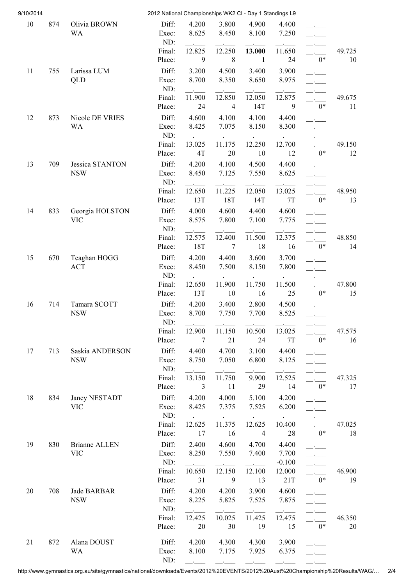| 9/10/2014 |     |                              | 2012 National Championships WK2 CI - Day 1 Standings L9 |                |                |                |                   |                                                             |              |
|-----------|-----|------------------------------|---------------------------------------------------------|----------------|----------------|----------------|-------------------|-------------------------------------------------------------|--------------|
| 10        | 874 | Olivia BROWN                 | Diff:                                                   | 4.200          | 3.800          | 4.900          | 4.400             |                                                             |              |
|           |     | <b>WA</b>                    | Exec:                                                   | 8.625          | 8.450          | 8.100          | 7.250             |                                                             |              |
|           |     |                              | ND:                                                     |                |                |                |                   |                                                             |              |
|           |     |                              | Final:                                                  | 12.825         | 12.250         | 13.000         | 11.650            |                                                             | 49.725       |
|           |     |                              | Place:                                                  | 9              | $\,8\,$        | $\mathbf{1}$   | 24                | $0*$                                                        | 10           |
| 11        | 755 | Larissa LUM                  | Diff:                                                   | 3.200          | 4.500          | 3.400          | 3.900             |                                                             |              |
|           |     | <b>QLD</b>                   | Exec:                                                   | 8.700          | 8.350          | 8.650          | 8.975             |                                                             |              |
|           |     |                              | ND:<br>Final:                                           | 11.900         | 12.850         |                | 12.875            |                                                             |              |
|           |     |                              | Place:                                                  | 24             | $\overline{4}$ | 12.050<br>14T  | 9                 | $0*$                                                        | 49.675<br>11 |
|           |     |                              |                                                         |                |                |                |                   |                                                             |              |
| 12        | 873 | Nicole DE VRIES<br><b>WA</b> | Diff:<br>Exec:                                          | 4.600<br>8.425 | 4.100<br>7.075 | 4.100<br>8.150 | 4.400<br>8.300    |                                                             |              |
|           |     |                              | ND:                                                     |                |                |                |                   |                                                             |              |
|           |     |                              | Final:                                                  | 13.025         | 11.175         | 12.250         | 12.700            |                                                             | 49.150       |
|           |     |                              | Place:                                                  | 4T             | 20             | 10             | 12                | $0*$                                                        | 12           |
| 13        | 709 | Jessica STANTON              | Diff:                                                   | 4.200          | 4.100          | 4.500          | 4.400             |                                                             |              |
|           |     | <b>NSW</b>                   | Exec:                                                   | 8.450          | 7.125          | 7.550          | 8.625             |                                                             |              |
|           |     |                              | ND:                                                     |                |                |                |                   |                                                             |              |
|           |     |                              | Final:                                                  | 12.650         | 11.225         | 12.050         | 13.025            | $\sim$                                                      | 48.950       |
|           |     |                              | Place:                                                  | 13T            | 18T            | 14T            | $7\mathrm{T}$     | $0*$                                                        | 13           |
| 14        | 833 | Georgia HOLSTON              | Diff:                                                   | 4.000          | 4.600          | 4.400          | 4.600             |                                                             |              |
|           |     | <b>VIC</b>                   | Exec:                                                   | 8.575          | 7.800          | 7.100          | 7.775             | $\mathcal{A}^{\mathcal{A}}$ and $\mathcal{A}^{\mathcal{A}}$ |              |
|           |     |                              | ND:                                                     |                |                |                |                   |                                                             |              |
|           |     |                              | Final:                                                  | 12.575         | 12.400         | 11.500         | 12.375            |                                                             | 48.850       |
|           |     |                              | Place:                                                  | 18T            | 7              | 18             | 16                | $0*$                                                        | 14           |
| 15        | 670 | Teaghan HOGG                 | Diff:                                                   | 4.200          | 4.400          | 3.600          | 3.700             |                                                             |              |
|           |     | <b>ACT</b>                   | Exec:                                                   | 8.450          | 7.500          | 8.150          | 7.800             | $\mathcal{L}$                                               |              |
|           |     |                              | ND:<br>Final:                                           | 12.650         | 11.900         | 11.750         | 11.500            |                                                             | 47.800       |
|           |     |                              | Place:                                                  | 13T            | 10             | 16             | 25                | $0*$                                                        | 15           |
|           | 714 |                              |                                                         |                |                |                |                   |                                                             |              |
| 16        |     | Tamara SCOTT<br><b>NSW</b>   | Diff:<br>Exec:                                          | 4.200<br>8.700 | 3.400<br>7.750 | 2.800<br>7.700 | 4.500<br>8.525    |                                                             |              |
|           |     |                              | ND:                                                     |                |                |                |                   |                                                             |              |
|           |     |                              | Final:                                                  | 12.900         | 11.150         | 10.500         | 13.025            |                                                             | 47.575       |
|           |     |                              | Place:                                                  | $\overline{7}$ | 21             | 24             | 7T                | $0*$                                                        | 16           |
| 17        | 713 | Saskia ANDERSON              | Diff:                                                   | 4.400          | 4.700          | 3.100          | 4.400             |                                                             |              |
|           |     | <b>NSW</b>                   | Exec:                                                   | 8.750          | 7.050          | 6.800          | 8.125             |                                                             |              |
|           |     |                              | ND:                                                     |                |                |                |                   |                                                             |              |
|           |     |                              | Final:                                                  | 13.150         | 11.750         | 9.900          | 12.525            |                                                             | 47.325       |
|           |     |                              | Place:                                                  | $\mathfrak{Z}$ | 11             | 29             | 14                | $0*$                                                        | 17           |
| 18        | 834 | Janey NESTADT                | Diff:                                                   | 4.200          | 4.000          | 5.100          | 4.200             |                                                             |              |
|           |     | <b>VIC</b>                   | Exec:                                                   | 8.425          | 7.375          | 7.525          | 6.200             |                                                             |              |
|           |     |                              | ND:                                                     |                |                |                | $\sim$ $\sim$     |                                                             |              |
|           |     |                              | Final:                                                  | 12.625         | 11.375         | 12.625         | 10.400            |                                                             | 47.025       |
|           |     |                              | Place:                                                  | 17             | 16             | 4              | 28                | $0*$                                                        | 18           |
| 19        | 830 | <b>Brianne ALLEN</b>         | Diff:                                                   | 2.400          | 4.600          | 4.700          | 4.400             |                                                             |              |
|           |     | <b>VIC</b>                   | Exec:<br>ND:                                            | 8.250          | 7.550          | 7.400          | 7.700<br>$-0.100$ | $ -$                                                        |              |
|           |     |                              | Final:                                                  | 10.650         | 12.150         | 12.100         | 12.000            | $\overline{\phantom{a}}$                                    | 46.900       |
|           |     |                              | Place:                                                  | 31             | 9              | 13             | 21T               | $0*$                                                        | 19           |
| 20        | 708 | Jade BARBAR                  | Diff:                                                   | 4.200          | 4.200          | 3.900          | 4.600             |                                                             |              |
|           |     | <b>NSW</b>                   | Exec:                                                   | 8.225          | 5.825          | 7.525          | 7.875             |                                                             |              |
|           |     |                              | ND:                                                     |                |                |                |                   |                                                             |              |
|           |     |                              | Final:                                                  | 12.425         | 10.025         | 11.425         | 12.475            |                                                             | 46.350       |
|           |     |                              | Place:                                                  | 20             | 30             | 19             | 15                | $0*$                                                        | 20           |
|           |     |                              |                                                         |                |                |                |                   |                                                             |              |
| 21        | 872 | Alana DOUST                  | Diff:                                                   | 4.200          | 4.300          | 4.300          | 3.900             |                                                             |              |
|           |     | <b>WA</b>                    | Exec:<br>ND:                                            | 8.100          | 7.175          | 7.925          | 6.375             |                                                             |              |
|           |     |                              |                                                         |                |                |                |                   |                                                             |              |

http://www.gymnastics.org.au/site/gymnastics/national/downloads/Events/2012%20EVENTS/2012%20Aust%20Championship%20Results/WAG/… 2/4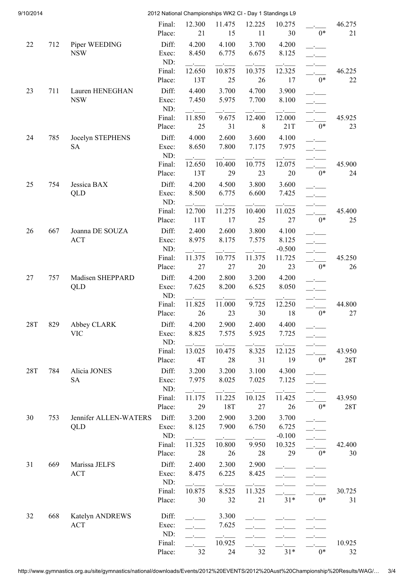| 9/10/2014  |     |                               |                  | 2012 National Championships WK2 CI - Day 1 Standings L9 |                |                |                    |      |              |
|------------|-----|-------------------------------|------------------|---------------------------------------------------------|----------------|----------------|--------------------|------|--------------|
|            |     |                               | Final:<br>Place: | 12.300<br>21                                            | 11.475<br>15   | 12.225<br>11   | 10.275<br>30       | $0*$ | 46.275<br>21 |
|            |     |                               |                  |                                                         |                |                |                    |      |              |
| 22         | 712 | Piper WEEDING<br><b>NSW</b>   | Diff:<br>Exec:   | 4.200<br>8.450                                          | 4.100<br>6.775 | 3.700<br>6.675 | 4.200<br>8.125     |      |              |
|            |     |                               | ND:              |                                                         |                |                |                    |      |              |
|            |     |                               | Final:           | 12.650                                                  | 10.875         | 10.375         | 12.325             |      | 46.225       |
|            |     |                               | Place:           | 13T                                                     | 25             | 26             | 17                 | $0*$ | 22           |
| 23         | 711 | Lauren HENEGHAN               | Diff:            | 4.400                                                   | 3.700          | 4.700          | 3.900              |      |              |
|            |     | <b>NSW</b>                    | Exec:            | 7.450                                                   | 5.975          | 7.700          | 8.100              |      |              |
|            |     |                               | ND:              |                                                         |                |                |                    |      |              |
|            |     |                               | Final:           | 11.850                                                  | 9.675          | 12.400         | 12.000             |      | 45.925       |
|            |     |                               | Place:           | 25                                                      | 31             | $\,8\,$        | 21T                | $0*$ | 23           |
| 24         | 785 | Jocelyn STEPHENS              | Diff:            | 4.000                                                   | 2.600          | 3.600          | 4.100              |      |              |
|            |     | <b>SA</b>                     | Exec:            | 8.650                                                   | 7.800          | 7.175          | 7.975              |      |              |
|            |     |                               | ND:              |                                                         |                |                |                    |      |              |
|            |     |                               | Final:           | 12.650                                                  | 10.400         | 10.775         | 12.075             |      | 45.900       |
|            |     |                               | Place:           | 13T                                                     | 29             | 23             | 20                 | $0*$ | 24           |
| 25         | 754 | Jessica BAX                   | Diff:            | 4.200                                                   | 4.500          | 3.800          | 3.600              |      |              |
|            |     | QLD                           | Exec:            | 8.500                                                   | 6.775          | 6.600          | 7.425              |      |              |
|            |     |                               | ND:              |                                                         |                |                |                    |      |              |
|            |     |                               | Final:<br>Place: | 12.700<br>11T                                           | 11.275<br>17   | 10.400<br>25   | 11.025<br>27       | $0*$ | 45.400<br>25 |
|            |     |                               |                  |                                                         |                |                |                    |      |              |
| 26         | 667 | Joanna DE SOUZA<br><b>ACT</b> | Diff:            | 2.400<br>8.975                                          | 2.600<br>8.175 | 3.800<br>7.575 | 4.100<br>8.125     |      |              |
|            |     |                               | Exec:<br>ND:     |                                                         |                |                | $-0.500$           |      |              |
|            |     |                               | Final:           | 11.375                                                  | 10.775         | 11.375         | 11.725             |      | 45.250       |
|            |     |                               | Place:           | 27                                                      | $27\,$         | 20             | 23                 | $0*$ | 26           |
| 27         | 757 | Madisen SHEPPARD              | Diff:            | 4.200                                                   | 2.800          | 3.200          | 4.200              |      |              |
|            |     | QLD                           | Exec:            | 7.625                                                   | 8.200          | 6.525          | 8.050              |      |              |
|            |     |                               | ND:              |                                                         |                |                |                    |      |              |
|            |     |                               | Final:           | 11.825                                                  | 11.000         | 9.725          | 12.250             |      | 44.800       |
|            |     |                               | Place:           | 26                                                      | 23             | 30             | 18                 | $0*$ | 27           |
| <b>28T</b> | 829 | Abbey CLARK                   | Diff:            | 4.200                                                   | 2.900          | 2.400          | 4.400              |      |              |
|            |     | <b>VIC</b>                    | Exec:            | 8.825                                                   | 7.575          | 5.925          | 7.725              |      |              |
|            |     |                               | ND:              |                                                         |                |                |                    |      |              |
|            |     |                               | Final:           | 13.025                                                  | 10.475         | 8.325          | 12.125             |      | 43.950       |
|            |     |                               | Place:           | 4T                                                      | 28             | 31             | 19                 | $0*$ | 28T          |
| 28T        | 784 | Alicia JONES                  | Diff:            | 3.200                                                   | 3.200          | 3.100          | 4.300              |      |              |
|            |     | <b>SA</b>                     | Exec:            | 7.975                                                   | 8.025          | 7.025          | 7.125              |      |              |
|            |     |                               | ND:              |                                                         |                |                |                    |      |              |
|            |     |                               | Final:           | 11.175                                                  | 11.225         | 10.125         | 11.425             |      | 43.950       |
|            |     |                               | Place:           | 29                                                      | 18T            | 27             | 26                 | $0*$ | <b>28T</b>   |
| 30         | 753 | Jennifer ALLEN-WATERS         | Diff:            | 3.200                                                   | 2.900          | 3.200          | 3.700              |      |              |
|            |     | QLD                           | Exec:<br>ND:     | 8.125                                                   | 7.900          | 6.750          | 6.725              |      |              |
|            |     |                               | Final:           | 11.325                                                  | 10.800         | 9.950          | $-0.100$<br>10.325 |      | 42.400       |
|            |     |                               | Place:           | 28                                                      | 26             | 28             | 29                 | $0*$ | 30           |
| 31         | 669 | Marissa JELFS                 | Diff:            | 2.400                                                   | 2.300          | 2.900          |                    |      |              |
|            |     | ACT                           | Exec:            | 8.475                                                   | 6.225          | 8.425          |                    |      |              |
|            |     |                               | ND:              |                                                         |                |                |                    |      |              |
|            |     |                               | Final:           | 10.875                                                  | 8.525          | 11.325         |                    |      | 30.725       |
|            |     |                               | Place:           | 30                                                      | 32             | 21             | $31*$              | $0*$ | 31           |
|            |     |                               |                  |                                                         |                |                |                    |      |              |
| 32         | 668 | Katelyn ANDREWS               | Diff:            |                                                         | 3.300          |                |                    |      |              |
|            |     | <b>ACT</b>                    | Exec:            |                                                         | 7.625          |                |                    |      |              |
|            |     |                               | ND:<br>Final:    |                                                         | 10.925         |                |                    |      | 10.925       |
|            |     |                               | Place:           | 32                                                      | 24             | 32             | $31*$              | $0*$ | 32           |
|            |     |                               |                  |                                                         |                |                |                    |      |              |